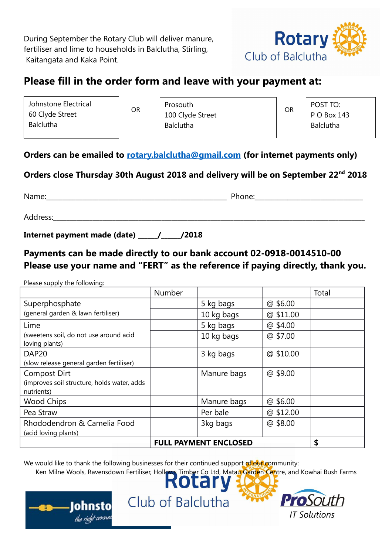During September the Rotary Club will deliver manure, fertiliser and lime to households in Balclutha, Stirling, Kaitangata and Kaka Point.



## **Please fill in the order form and leave with your payment at:**

| Johnstone Electrical |  |  |  |  |
|----------------------|--|--|--|--|
| 60 Clyde Street      |  |  |  |  |
| <b>Balclutha</b>     |  |  |  |  |

 OR OR 100 Clyde Street Prosouth Balclutha

POST TO: P O Box 143 Balclutha

#### **Orders can be emailed to [rotary.balclutha@gmail.com](mailto:rotary.balclutha@gmail.com) (for internet payments only)**

### **Orders close Thursday 30th August 2018 and delivery will be on September 22nd 2018**

Name: The contract of the contract of the contract of the Phone:  $P$ hone:

Address:\_\_\_\_\_\_\_\_\_\_\_\_\_\_\_\_\_\_\_\_\_\_\_\_\_\_\_\_\_\_\_\_\_\_\_\_\_\_\_\_\_\_\_\_\_\_\_\_\_\_\_\_\_\_\_\_\_\_\_\_\_\_\_\_\_\_\_\_\_\_\_\_\_\_\_\_\_\_\_\_\_\_\_\_\_\_\_\_\_\_\_\_\_\_\_

**Internet payment made (date) \_\_\_\_\_\_/\_\_\_\_\_\_/2018**

### **Payments can be made directly to our bank account 02-0918-0014510-00 Please use your name and "FERT" as the reference if paying directly, thank you.**

Please supply the following:

|                                                           | Number |             |           | Total |
|-----------------------------------------------------------|--------|-------------|-----------|-------|
| Superphosphate                                            |        | 5 kg bags   | @ \$6.00  |       |
| (general garden & lawn fertiliser)                        |        | 10 kg bags  | @ \$11.00 |       |
| Lime                                                      |        | 5 kg bags   | @ \$4.00  |       |
| (sweetens soil, do not use around acid<br>loving plants)  |        | 10 kg bags  | @ \$7.00  |       |
| DAP <sub>20</sub>                                         |        | 3 kg bags   | @ \$10.00 |       |
| (slow release general garden fertiliser)                  |        |             |           |       |
| <b>Compost Dirt</b>                                       |        | Manure bags | @ \$9.00  |       |
| (improves soil structure, holds water, adds<br>nutrients) |        |             |           |       |
| <b>Wood Chips</b>                                         |        | Manure bags | @ \$6.00  |       |
| Pea Straw                                                 |        | Per bale    | @ \$12.00 |       |
| Rhododendron & Camelia Food                               |        | 3kg bags    | @\$8.00   |       |
| (acid loving plants)                                      |        |             |           |       |
| <b>FULL PAYMENT ENCLOSED</b>                              |        |             |           | \$    |

We would like to thank the following businesses for their continued support of our community:



Club of Balclutha